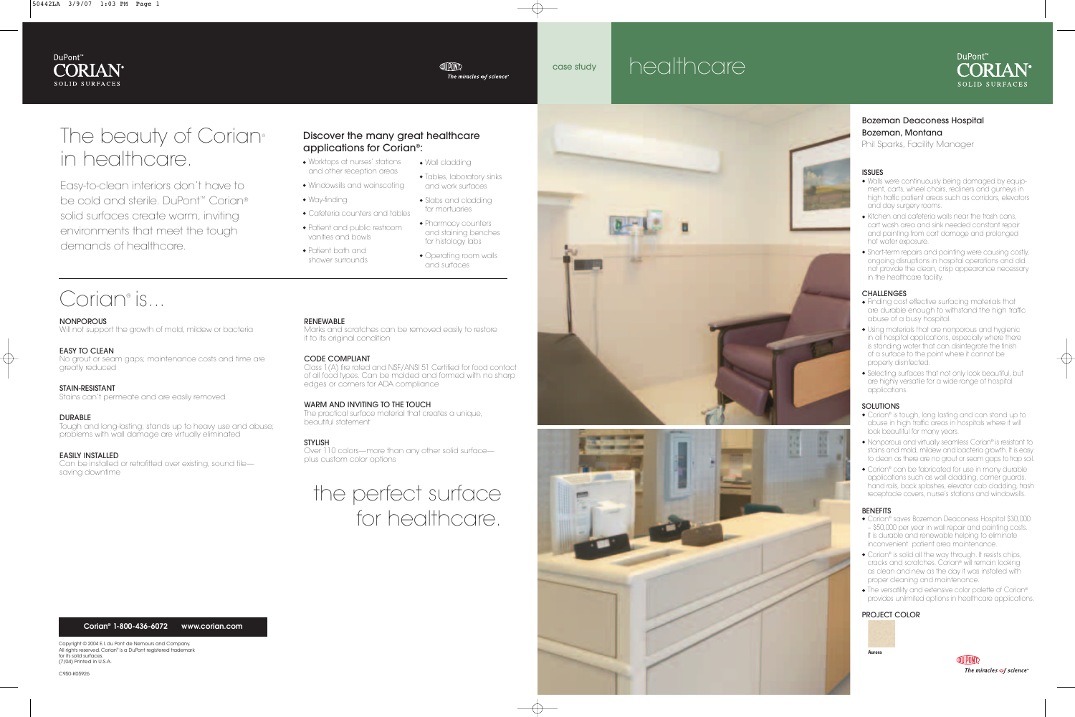# Bozeman Deaconess Hospital Bozeman, Montana

Phil Sparks, Facility Manager

#### ISSUES

- ◆ Walls were continuously being damaged by equipment, carts, wheel chairs, recliners and gurneys in high traffic patient areas such as corridors, elevators and day surgery rooms.
- ◆ Kitchen and cafeteria walls near the trash cans, cart wash area and sink needed constant repair and painting from cart damage and prolonged hot water exposure.
- ◆ Short-term repairs and painting were causing costly, ongoing disruptions in hospital operations and did not provide the clean, crisp appearance necessary in the healthcare facility.

### CHALLENGES

- ◆ Finding cost effective surfacing materials that are durable enough to withstand the high traffic abuse of a busy hospital.
- ◆ Using materials that are nonporous and hygienic in all hospital applications, especially where there is standing water that can disintegrate the finish of a surface to the point where it cannot be properly disinfected.
- ◆ Selecting surfaces that not only look beautiful, but are highly versatile for a wide range of hospital applications.

#### SOLUTIONS

# The beauty of Corian® in healthcare.

- ◆ Corian® is tough, long lasting and can stand up to abuse in high traffic areas in hospitals where it will look beautiful for many years.
- ◆ Nonporous and virtually seamless Corian® is resistant to stains and mold, mildew and bacteria growth. It is easy to clean as there are no grout or seam gaps to trap soil.
- ◆ Corian® can be fabricated for use in many durable applications such as wall cladding, corner guards, hand rails, back splashes, elevator cab cladding, trash receptacle covers, nurse's stations and windowsills.

#### BENEFITS

- ◆ Corian® saves Bozeman Deaconess Hospital \$30,000 – \$50,000 per year in wall repair and painting costs. It is durable and renewable helping to eliminate inconvenient patient area maintenance.
- ◆ Corian® is solid all the way through. It resists chips, cracks and scratches. Corian® will remain looking as clean and new as the day it was installed with proper cleaning and maintenance.
- ◆ The versatility and extensive color palette of Corian® provides unlimited options in healthcare applications.

#### PROJECT COLOR

# healthcare





**QUPOND** The miracles  $\sigma$ f science

Easy-to-clean interiors don't have to be cold and sterile. DuPont™ Corian® solid surfaces create warm, inviting environments that meet the tough demands of healthcare.

- ◆ Worktops at nurses' stations and other reception areas
- ◆ Windowsills and wainscoting
- ◆ Way-finding
- ◆ Cafeteria counters and tables
- ◆ Patient and public restroom vanities and bowls
- ◆ Patient bath and shower surrounds

 $\bullet$  Wall cladding

**QUPOND** 

# Discover the many great healthcare applications for Corian®:

- ◆ Tables, laboratory sinks and work surfaces
- ◆ Slabs and cladding for mortuaries
- ◆ Pharmacy counters
- ◆ Operating room walls and surfaces

# Corian<sup>®</sup> is...

- 
- and staining benches for histology labs
- 



## NONPOROUS

Will not support the growth of mold, mildew or bacteria

# EASY TO CLEAN

No grout or seam gaps; maintenance costs and time are greatly reduced

## STAIN-RESISTANT

Stains can't permeate and are easily removed

## DURABLE

Tough and long-lasting; stands up to heavy use and abuse; problems with wall damage are virtually eliminated

## EASILY INSTALLED

Can be installed or retrofitted over existing, sound tile saving downtime

### RENEWABLE

Marks and scratches can be removed easily to restore it to its original condition

#### CODE COMPLIANT

Class 1(A) fire rated and NSF/ANSI 51 Certified for food contact of all food types. Can be molded and formed with no sharp edges or corners for ADA compliance

## WARM AND INVITING TO THE TOUCH

The practical surface material that creates a unique, beautiful statement

## STYLISH

Over 110 colors—more than any other solid surface plus custom color options

# the perfect surface for healthcare.



The miracles  $\sigma$ f science

Copyright © 2004 E.I. du Pont de Nemours and Company. All rights reserved. Corian® is a DuPont registered trademark for its solid surfaces. (7/04) Printed in U.S.A.

C950-K05926





#### **Corian® 1-800-436-6072 www.corian.com**

case study

# DuPont™ **CORIAN® SOLID SURFACES**